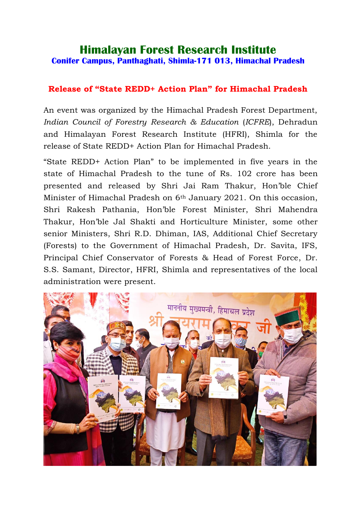## **Himalayan Forest Research Institute Conifer Campus, Panthaghati, Shimla-171 013, Himachal Pradesh**

## **Release of "State REDD+ Action Plan" for Himachal Pradesh**

An event was organized by the Himachal Pradesh Forest Department, *Indian Council of Forestry Research & Education* (*ICFRE*), Dehradun and Himalayan Forest Research Institute (HFRI), Shimla for the release of State REDD+ Action Plan for Himachal Pradesh.

"State REDD+ Action Plan" to be implemented in five years in the state of Himachal Pradesh to the tune of Rs. 102 crore has been presented and released by Shri Jai Ram Thakur, Hon'ble Chief Minister of Himachal Pradesh on 6th January 2021. On this occasion, Shri Rakesh Pathania, Hon'ble Forest Minister, Shri Mahendra Thakur, Hon'ble Jal Shakti and Horticulture Minister, some other senior Ministers, Shri R.D. Dhiman, IAS, Additional Chief Secretary (Forests) to the Government of Himachal Pradesh, Dr. Savita, IFS, Principal Chief Conservator of Forests & Head of Forest Force, Dr. S.S. Samant, Director, HFRI, Shimla and representatives of the local administration were present.

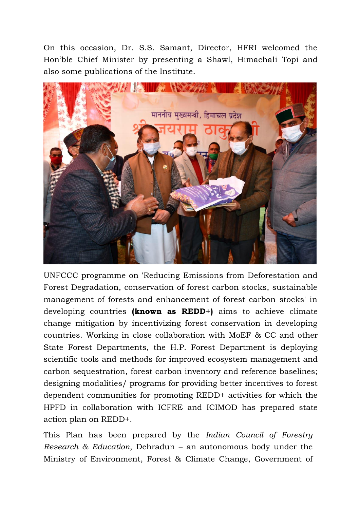On this occasion, Dr. S.S. Samant, Director, HFRI welcomed the Hon'ble Chief Minister by presenting a Shawl, Himachali Topi and also some publications of the Institute.



UNFCCC programme on 'Reducing Emissions from Deforestation and Forest Degradation, conservation of forest carbon stocks, sustainable management of forests and enhancement of forest carbon stocks' in developing countries **(known as REDD+)** aims to achieve climate change mitigation by incentivizing forest conservation in developing countries. Working in close collaboration with MoEF & CC and other State Forest Departments, the H.P. Forest Department is deploying scientific tools and methods for improved ecosystem management and carbon sequestration, forest carbon inventory and reference baselines; designing modalities/ programs for providing better incentives to forest dependent communities for promoting REDD+ activities for which the HPFD in collaboration with ICFRE and ICIMOD has prepared state action plan on REDD+.

This Plan has been prepared by the *Indian Council of Forestry Research & Education*, Dehradun – an autonomous body under the Ministry of Environment, Forest & Climate Change, Government of